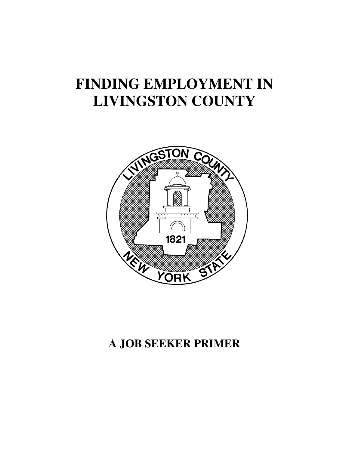# **FINDING EMPLOYMENT IN LIVINGSTON COUNTY**



## **A JOB SEEKER PRIMER**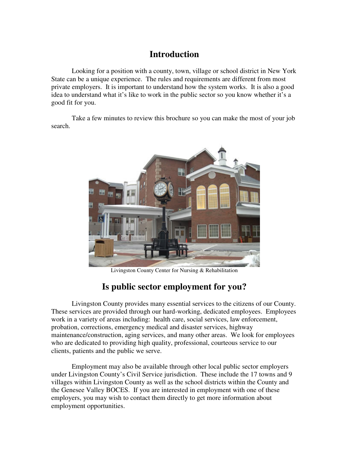## **Introduction**

Looking for a position with a county, town, village or school district in New York State can be a unique experience. The rules and requirements are different from most private employers. It is important to understand how the system works. It is also a good idea to understand what it's like to work in the public sector so you know whether it's a good fit for you.

Take a few minutes to review this brochure so you can make the most of your job search.



Livingston County Center for Nursing & Rehabilitation

## **Is public sector employment for you?**

Livingston County provides many essential services to the citizens of our County. These services are provided through our hard-working, dedicated employees. Employees work in a variety of areas including: health care, social services, law enforcement, probation, corrections, emergency medical and disaster services, highway maintenance/construction, aging services, and many other areas. We look for employees who are dedicated to providing high quality, professional, courteous service to our clients, patients and the public we serve.

Employment may also be available through other local public sector employers under Livingston County's Civil Service jurisdiction. These include the 17 towns and 9 villages within Livingston County as well as the school districts within the County and the Genesee Valley BOCES. If you are interested in employment with one of these employers, you may wish to contact them directly to get more information about employment opportunities.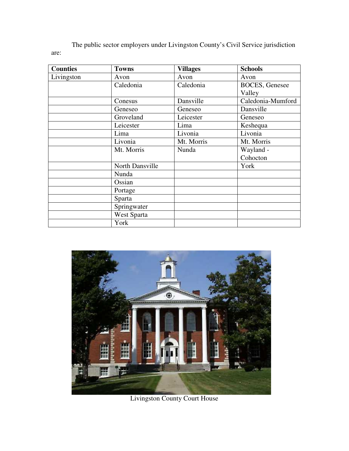The public sector employers under Livingston County's Civil Service jurisdiction are:

| <b>Counties</b> | <b>Towns</b>    | <b>Villages</b> | <b>Schools</b>         |
|-----------------|-----------------|-----------------|------------------------|
| Livingston      | Avon            | Avon            | Avon                   |
|                 | Caledonia       | Caledonia       | <b>BOCES</b> , Genesee |
|                 |                 |                 | Valley                 |
|                 | Conesus         | Dansville       | Caledonia-Mumford      |
|                 | Geneseo         | Geneseo         | Dansville              |
|                 | Groveland       | Leicester       | Geneseo                |
|                 | Leicester       | Lima            | Keshequa               |
|                 | Lima            | Livonia         | Livonia                |
|                 | Livonia         | Mt. Morris      | Mt. Morris             |
|                 | Mt. Morris      | Nunda           | Wayland -              |
|                 |                 |                 | Cohocton               |
|                 | North Dansville |                 | York                   |
|                 | Nunda           |                 |                        |
|                 | Ossian          |                 |                        |
|                 | Portage         |                 |                        |
|                 | Sparta          |                 |                        |
|                 | Springwater     |                 |                        |
|                 | West Sparta     |                 |                        |
|                 | York            |                 |                        |



Livingston County Court House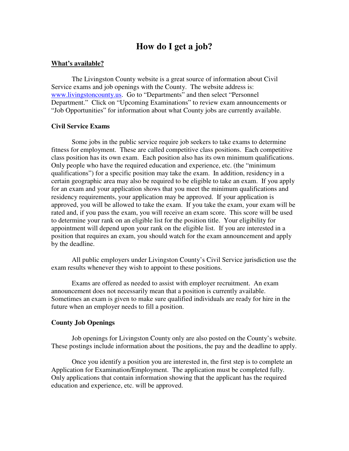### **How do I get a job?**

#### **What's available?**

The Livingston County website is a great source of information about Civil Service exams and job openings with the County. The website address is: www.livingstoncounty.us. Go to "Departments" and then select "Personnel Department." Click on "Upcoming Examinations" to review exam announcements or "Job Opportunities" for information about what County jobs are currently available.

#### **Civil Service Exams**

Some jobs in the public service require job seekers to take exams to determine fitness for employment. These are called competitive class positions. Each competitive class position has its own exam. Each position also has its own minimum qualifications. Only people who have the required education and experience, etc. (the "minimum qualifications") for a specific position may take the exam. In addition, residency in a certain geographic area may also be required to be eligible to take an exam. If you apply for an exam and your application shows that you meet the minimum qualifications and residency requirements, your application may be approved. If your application is approved, you will be allowed to take the exam. If you take the exam, your exam will be rated and, if you pass the exam, you will receive an exam score. This score will be used to determine your rank on an eligible list for the position title. Your eligibility for appointment will depend upon your rank on the eligible list. If you are interested in a position that requires an exam, you should watch for the exam announcement and apply by the deadline.

All public employers under Livingston County's Civil Service jurisdiction use the exam results whenever they wish to appoint to these positions.

Exams are offered as needed to assist with employer recruitment. An exam announcement does not necessarily mean that a position is currently available. Sometimes an exam is given to make sure qualified individuals are ready for hire in the future when an employer needs to fill a position.

#### **County Job Openings**

 Job openings for Livingston County only are also posted on the County's website. These postings include information about the positions, the pay and the deadline to apply.

Once you identify a position you are interested in, the first step is to complete an Application for Examination/Employment. The application must be completed fully. Only applications that contain information showing that the applicant has the required education and experience, etc. will be approved.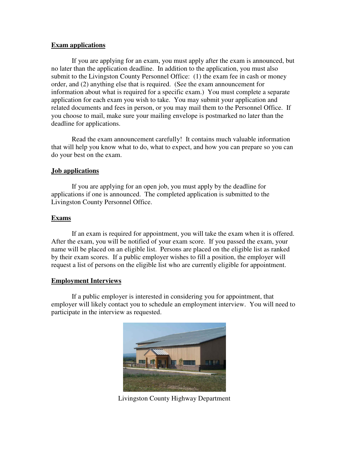#### **Exam applications**

 If you are applying for an exam, you must apply after the exam is announced, but no later than the application deadline. In addition to the application, you must also submit to the Livingston County Personnel Office: (1) the exam fee in cash or money order, and (2) anything else that is required. (See the exam announcement for information about what is required for a specific exam.) You must complete a separate application for each exam you wish to take. You may submit your application and related documents and fees in person, or you may mail them to the Personnel Office. If you choose to mail, make sure your mailing envelope is postmarked no later than the deadline for applications.

 Read the exam announcement carefully! It contains much valuable information that will help you know what to do, what to expect, and how you can prepare so you can do your best on the exam.

#### **Job applications**

 If you are applying for an open job, you must apply by the deadline for applications if one is announced. The completed application is submitted to the Livingston County Personnel Office.

#### **Exams**

 If an exam is required for appointment, you will take the exam when it is offered. After the exam, you will be notified of your exam score. If you passed the exam, your name will be placed on an eligible list. Persons are placed on the eligible list as ranked by their exam scores. If a public employer wishes to fill a position, the employer will request a list of persons on the eligible list who are currently eligible for appointment.

#### **Employment Interviews**

 If a public employer is interested in considering you for appointment, that employer will likely contact you to schedule an employment interview. You will need to participate in the interview as requested.



Livingston County Highway Department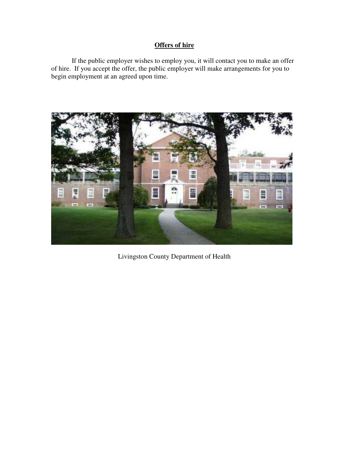#### **Offers of hire**

 If the public employer wishes to employ you, it will contact you to make an offer of hire. If you accept the offer, the public employer will make arrangements for you to begin employment at an agreed upon time.



Livingston County Department of Health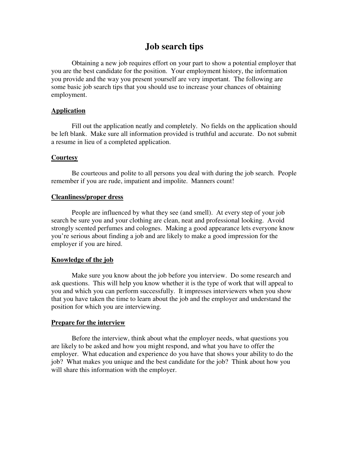## **Job search tips**

Obtaining a new job requires effort on your part to show a potential employer that you are the best candidate for the position. Your employment history, the information you provide and the way you present yourself are very important. The following are some basic job search tips that you should use to increase your chances of obtaining employment.

#### **Application**

 Fill out the application neatly and completely. No fields on the application should be left blank. Make sure all information provided is truthful and accurate. Do not submit a resume in lieu of a completed application.

#### **Courtesy**

 Be courteous and polite to all persons you deal with during the job search. People remember if you are rude, impatient and impolite. Manners count!

#### **Cleanliness/proper dress**

 People are influenced by what they see (and smell). At every step of your job search be sure you and your clothing are clean, neat and professional looking. Avoid strongly scented perfumes and colognes. Making a good appearance lets everyone know you're serious about finding a job and are likely to make a good impression for the employer if you are hired.

#### **Knowledge of the job**

 Make sure you know about the job before you interview. Do some research and ask questions. This will help you know whether it is the type of work that will appeal to you and which you can perform successfully. It impresses interviewers when you show that you have taken the time to learn about the job and the employer and understand the position for which you are interviewing.

#### **Prepare for the interview**

 Before the interview, think about what the employer needs, what questions you are likely to be asked and how you might respond, and what you have to offer the employer. What education and experience do you have that shows your ability to do the job? What makes you unique and the best candidate for the job? Think about how you will share this information with the employer.